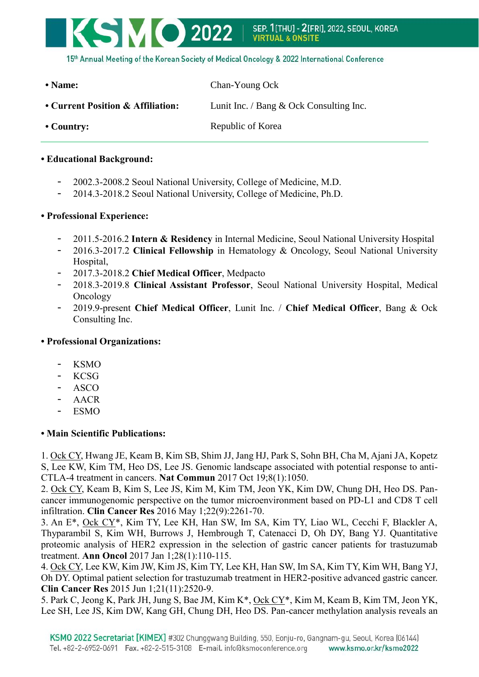

15th Annual Meeting of the Korean Society of Medical Oncology & 2022 International Conference

- **Name:** Chan-Young Ock
- **Current Position & Affiliation:** Lunit Inc. / Bang & Ock Consulting Inc.
- 

• **Country:** Republic of Korea

# **• Educational Background:**

- 2002.3-2008.2 Seoul National University, College of Medicine, M.D.
- 2014.3-2018.2 Seoul National University, College of Medicine, Ph.D.

# **• Professional Experience:**

- 2011.5-2016.2 **Intern & Residency** in Internal Medicine, Seoul National University Hospital
- 2016.3-2017.2 **Clinical Fellowship** in Hematology & Oncology, Seoul National University Hospital,
- 2017.3-2018.2 **Chief Medical Officer**, Medpacto
- 2018.3-2019.8 **Clinical Assistant Professor**, Seoul National University Hospital, Medical Oncology
- 2019.9-present **Chief Medical Officer**, Lunit Inc. / **Chief Medical Officer**, Bang & Ock Consulting Inc.

### **• Professional Organizations:**

- KSMO
- KCSG
- ASCO
- AACR
- ESMO

# **• Main Scientific Publications:**

1. Ock CY, Hwang JE, Keam B, Kim SB, Shim JJ, Jang HJ, Park S, Sohn BH, Cha M, Ajani JA, Kopetz S, Lee KW, Kim TM, Heo DS, Lee JS. Genomic landscape associated with potential response to anti-CTLA-4 treatment in cancers. **Nat Commun** 2017 Oct 19;8(1):1050.

2. Ock CY, Keam B, Kim S, Lee JS, Kim M, Kim TM, Jeon YK, Kim DW, Chung DH, Heo DS. Pancancer immunogenomic perspective on the tumor microenvironment based on PD-L1 and CD8 T cell infiltration. **Clin Cancer Res** 2016 May 1;22(9):2261-70.

3. An E\*, Ock CY\*, Kim TY, Lee KH, Han SW, Im SA, Kim TY, Liao WL, Cecchi F, Blackler A, Thyparambil S, Kim WH, Burrows J, Hembrough T, Catenacci D, Oh DY, Bang YJ. Quantitative proteomic analysis of HER2 expression in the selection of gastric cancer patients for trastuzumab treatment. **Ann Oncol** 2017 Jan 1;28(1):110-115.

4. Ock CY, Lee KW, Kim JW, Kim JS, Kim TY, Lee KH, Han SW, Im SA, Kim TY, Kim WH, Bang YJ, Oh DY. Optimal patient selection for trastuzumab treatment in HER2-positive advanced gastric cancer. **Clin Cancer Res** 2015 Jun 1;21(11):2520-9.

5. Park C, Jeong K, Park JH, Jung S, Bae JM, Kim K\*, Ock CY\*, Kim M, Keam B, Kim TM, Jeon YK, Lee SH, Lee JS, Kim DW, Kang GH, Chung DH, Heo DS. Pan-cancer methylation analysis reveals an